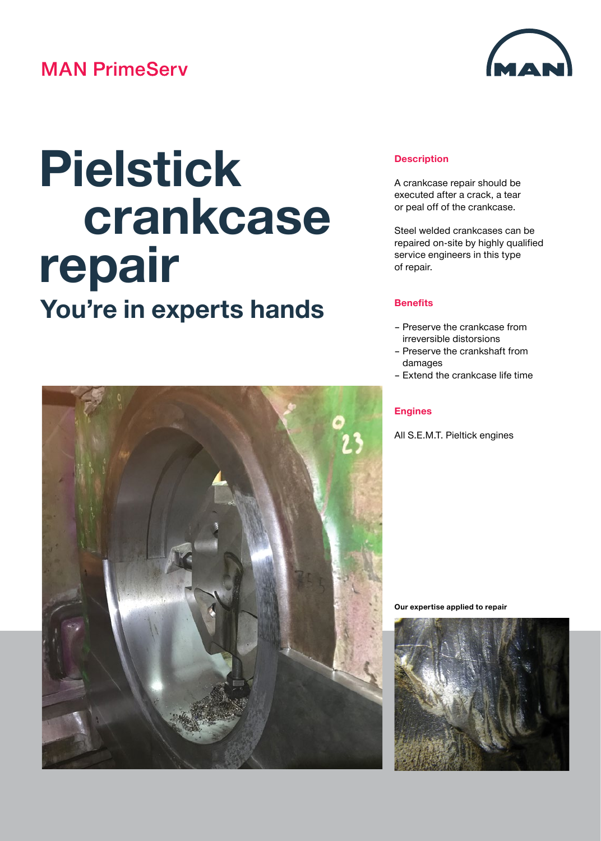## **MAN PrimeServ**



# **Pielstick crankcase repair You're in experts hands**



#### **Description**

A crankcase repair should be executed after a crack, a tear or peal off of the crankcase.

Steel welded crankcases can be repaired on-site by highly qualified service engineers in this type of repair.

#### **Benefits**

- Preserve the crankcase from irreversible distorsions
- Preserve the crankshaft from damages
- Extend the crankcase life time

#### **Engines**

All S.E.M.T. Pieltick engines

**Our expertise applied to repair**